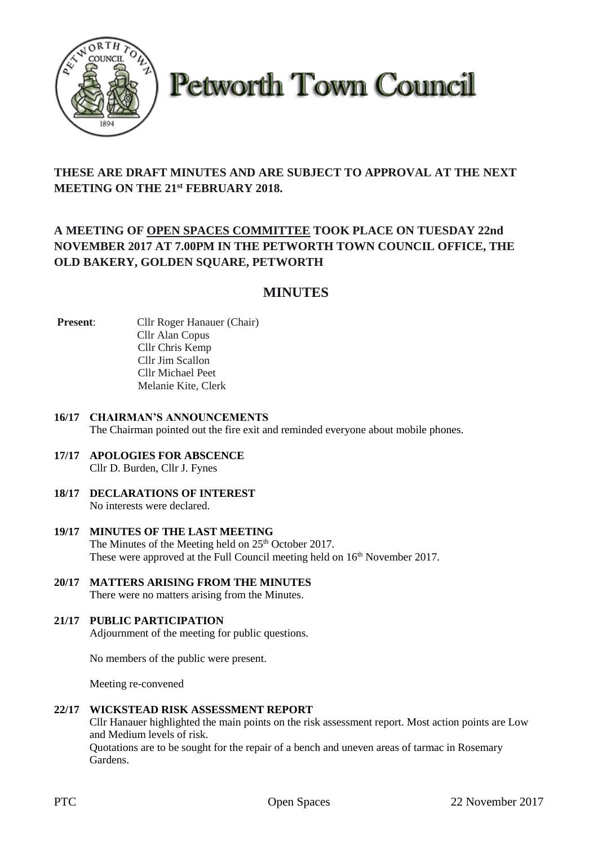

**Petworth Town Council** 

# **THESE ARE DRAFT MINUTES AND ARE SUBJECT TO APPROVAL AT THE NEXT MEETING ON THE 21st FEBRUARY 2018.**

# **A MEETING OF OPEN SPACES COMMITTEE TOOK PLACE ON TUESDAY 22nd NOVEMBER 2017 AT 7.00PM IN THE PETWORTH TOWN COUNCIL OFFICE, THE OLD BAKERY, GOLDEN SQUARE, PETWORTH**

# **MINUTES**

- **Present:** Cllr Roger Hanauer (Chair) Cllr Alan Copus Cllr Chris Kemp Cllr Jim Scallon Cllr Michael Peet Melanie Kite, Clerk
- **16/17 CHAIRMAN'S ANNOUNCEMENTS** The Chairman pointed out the fire exit and reminded everyone about mobile phones.
- **17/17 APOLOGIES FOR ABSCENCE** Cllr D. Burden, Cllr J. Fynes
- **18/17 DECLARATIONS OF INTEREST** No interests were declared.
- **19/17 MINUTES OF THE LAST MEETING** The Minutes of the Meeting held on 25<sup>th</sup> October 2017. These were approved at the Full Council meeting held on  $16<sup>th</sup>$  November 2017.
- **20/17 MATTERS ARISING FROM THE MINUTES** There were no matters arising from the Minutes.

### **21/17 PUBLIC PARTICIPATION**

Adjournment of the meeting for public questions.

No members of the public were present.

Meeting re-convened

### **22/17 WICKSTEAD RISK ASSESSMENT REPORT**

Cllr Hanauer highlighted the main points on the risk assessment report. Most action points are Low and Medium levels of risk.

Quotations are to be sought for the repair of a bench and uneven areas of tarmac in Rosemary Gardens.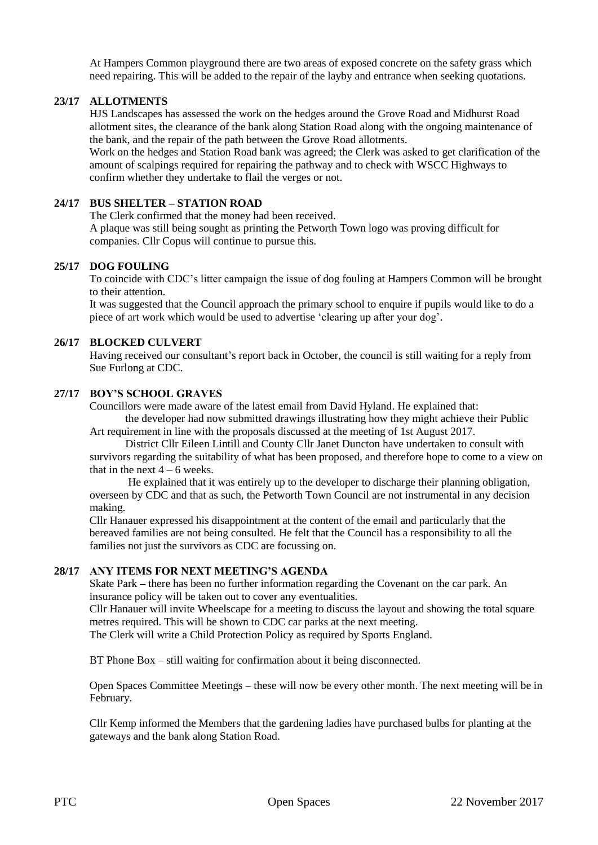At Hampers Common playground there are two areas of exposed concrete on the safety grass which need repairing. This will be added to the repair of the layby and entrance when seeking quotations.

#### **23/17 ALLOTMENTS**

HJS Landscapes has assessed the work on the hedges around the Grove Road and Midhurst Road allotment sites, the clearance of the bank along Station Road along with the ongoing maintenance of the bank, and the repair of the path between the Grove Road allotments.

Work on the hedges and Station Road bank was agreed; the Clerk was asked to get clarification of the amount of scalpings required for repairing the pathway and to check with WSCC Highways to confirm whether they undertake to flail the verges or not.

#### **24/17 BUS SHELTER – STATION ROAD**

The Clerk confirmed that the money had been received.

A plaque was still being sought as printing the Petworth Town logo was proving difficult for companies. Cllr Copus will continue to pursue this.

#### **25/17 DOG FOULING**

To coincide with CDC's litter campaign the issue of dog fouling at Hampers Common will be brought to their attention.

It was suggested that the Council approach the primary school to enquire if pupils would like to do a piece of art work which would be used to advertise 'clearing up after your dog'.

#### **26/17 BLOCKED CULVERT**

Having received our consultant's report back in October, the council is still waiting for a reply from Sue Furlong at CDC.

### **27/17 BOY'S SCHOOL GRAVES**

Councillors were made aware of the latest email from David Hyland. He explained that: the developer had now submitted drawings illustrating how they might achieve their Public

Art requirement in line with the proposals discussed at the meeting of 1st August 2017.

District Cllr Eileen Lintill and County Cllr Janet Duncton have undertaken to consult with survivors regarding the suitability of what has been proposed, and therefore hope to come to a view on that in the next  $4 - 6$  weeks.

He explained that it was entirely up to the developer to discharge their planning obligation, overseen by CDC and that as such, the Petworth Town Council are not instrumental in any decision making.

Cllr Hanauer expressed his disappointment at the content of the email and particularly that the bereaved families are not being consulted. He felt that the Council has a responsibility to all the families not just the survivors as CDC are focussing on.

#### **28/17 ANY ITEMS FOR NEXT MEETING'S AGENDA**

Skate Park **–** there has been no further information regarding the Covenant on the car park. An insurance policy will be taken out to cover any eventualities.

Cllr Hanauer will invite Wheelscape for a meeting to discuss the layout and showing the total square metres required. This will be shown to CDC car parks at the next meeting.

The Clerk will write a Child Protection Policy as required by Sports England.

BT Phone Box – still waiting for confirmation about it being disconnected.

Open Spaces Committee Meetings – these will now be every other month. The next meeting will be in February.

Cllr Kemp informed the Members that the gardening ladies have purchased bulbs for planting at the gateways and the bank along Station Road.